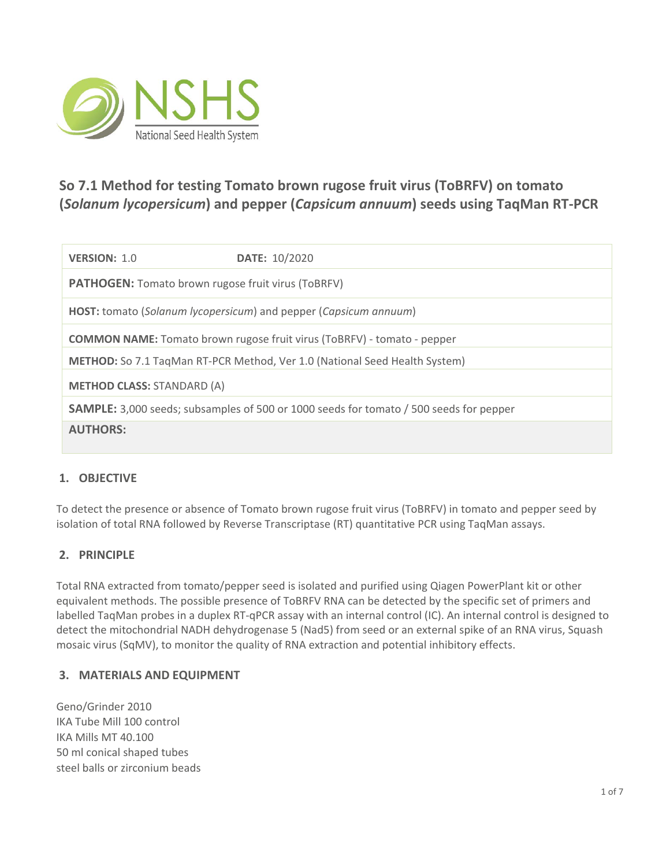

# **So 7.1 Method for testing Tomato brown rugose fruit virus (ToBRFV) on tomato (***Solanum lycopersicum***) and pepper (***Capsicum annuum***) seeds using TaqMan RT-PCR**

| VERSION: 1.0                                                                      | DATE: 10/2020                                                                                 |  |  |  |
|-----------------------------------------------------------------------------------|-----------------------------------------------------------------------------------------------|--|--|--|
| <b>PATHOGEN:</b> Tomato brown rugose fruit virus (ToBRFV)                         |                                                                                               |  |  |  |
| HOST: tomato (Solanum lycopersicum) and pepper (Capsicum annuum)                  |                                                                                               |  |  |  |
| <b>COMMON NAME:</b> Tomato brown rugose fruit virus (ToBRFV) - tomato - pepper    |                                                                                               |  |  |  |
| <b>METHOD:</b> So 7.1 TagMan RT-PCR Method, Ver 1.0 (National Seed Health System) |                                                                                               |  |  |  |
| <b>METHOD CLASS: STANDARD (A)</b>                                                 |                                                                                               |  |  |  |
|                                                                                   | <b>SAMPLE:</b> 3,000 seeds; subsamples of 500 or 1000 seeds for tomato / 500 seeds for pepper |  |  |  |
| <b>AUTHORS:</b>                                                                   |                                                                                               |  |  |  |

# **1. OBJECTIVE**

To detect the presence or absence of Tomato brown rugose fruit virus (ToBRFV) in tomato and pepper seed by isolation of total RNA followed by Reverse Transcriptase (RT) quantitative PCR using TaqMan assays.

## **2. PRINCIPLE**

Total RNA extracted from tomato/pepper seed is isolated and purified using Qiagen PowerPlant kit or other equivalent methods. The possible presence of ToBRFV RNA can be detected by the specific set of primers and labelled TaqMan probes in a duplex RT-qPCR assay with an internal control (IC). An internal control is designed to detect the mitochondrial NADH dehydrogenase 5 (Nad5) from seed or an external spike of an RNA virus, Squash mosaic virus (SqMV), to monitor the quality of RNA extraction and potential inhibitory effects.

## **3. MATERIALS AND EQUIPMENT**

Geno/Grinder 2010 IKA Tube Mill 100 control IKA Mills MT 40.100 50 ml conical shaped tubes steel balls or zirconium beads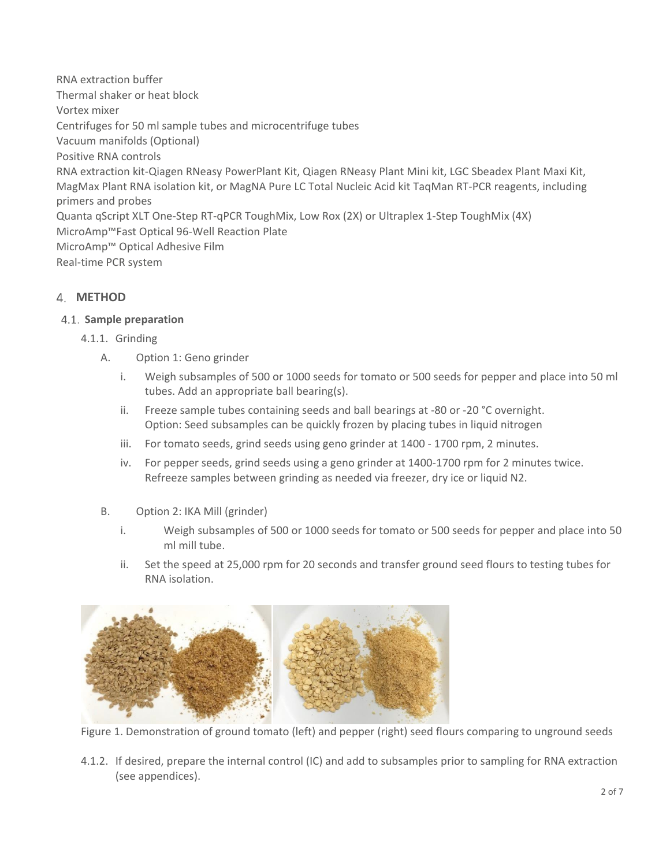RNA extraction buffer Thermal shaker or heat block Vortex mixer Centrifuges for 50 ml sample tubes and microcentrifuge tubes Vacuum manifolds (Optional) Positive RNA controls RNA extraction kit-Qiagen RNeasy PowerPlant Kit, Qiagen RNeasy Plant Mini kit, LGC Sbeadex Plant Maxi Kit, MagMax Plant RNA isolation kit, or MagNA Pure LC Total Nucleic Acid kit TaqMan RT-PCR reagents, including primers and probes Quanta qScript XLT One-Step RT-qPCR ToughMix, Low Rox (2X) or Ultraplex 1-Step ToughMix (4X) MicroAmp™Fast Optical 96-Well Reaction Plate MicroAmp™ Optical Adhesive Film Real-time PCR system

# **METHOD**

#### **Sample preparation**

- 4.1.1. Grinding
	- A. Option 1: Geno grinder
		- i. Weigh subsamples of 500 or 1000 seeds for tomato or 500 seeds for pepper and place into 50 ml tubes. Add an appropriate ball bearing(s).
		- ii. Freeze sample tubes containing seeds and ball bearings at -80 or -20 °C overnight. Option: Seed subsamples can be quickly frozen by placing tubes in liquid nitrogen
		- iii. For tomato seeds, grind seeds using geno grinder at 1400 1700 rpm, 2 minutes.
		- iv. For pepper seeds, grind seeds using a geno grinder at 1400-1700 rpm for 2 minutes twice. Refreeze samples between grinding as needed via freezer, dry ice or liquid N2.
	- B. Option 2: IKA Mill (grinder)
		- i. Weigh subsamples of 500 or 1000 seeds for tomato or 500 seeds for pepper and place into 50 ml mill tube.
		- ii. Set the speed at 25,000 rpm for 20 seconds and transfer ground seed flours to testing tubes for RNA isolation.



Figure 1. Demonstration of ground tomato (left) and pepper (right) seed flours comparing to unground seeds

4.1.2. If desired, prepare the internal control (IC) and add to subsamples prior to sampling for RNA extraction (see appendices).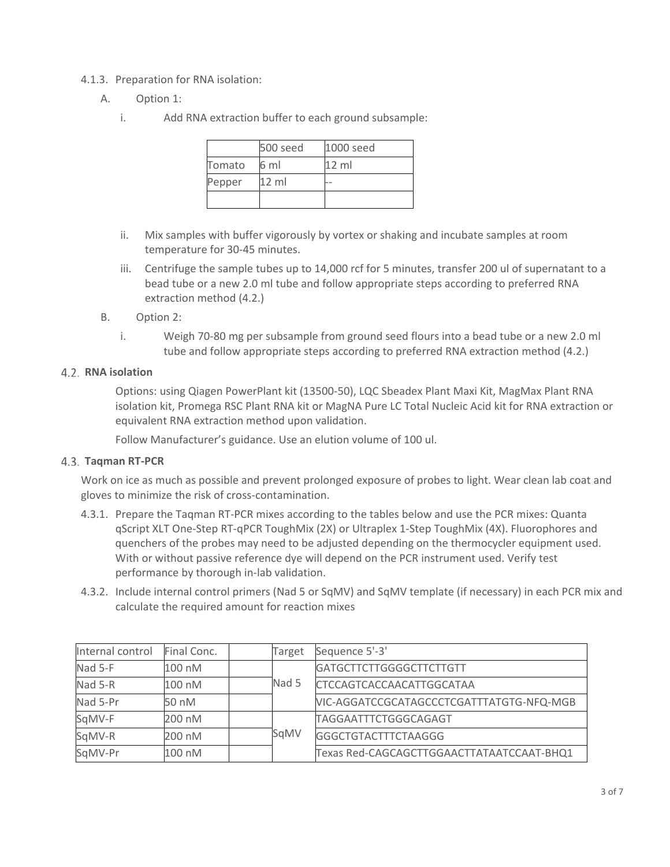- 4.1.3. Preparation for RNA isolation:
	- A. Option 1:
		- i. Add RNA extraction buffer to each ground subsample:

|        | 500 seed        | 1000 seed       |
|--------|-----------------|-----------------|
| Tomato | 6 ml            | $12 \text{ ml}$ |
| Pepper | $12 \text{ ml}$ |                 |
|        |                 |                 |

- ii. Mix samples with buffer vigorously by vortex or shaking and incubate samples at room temperature for 30-45 minutes.
- iii. Centrifuge the sample tubes up to 14,000 rcf for 5 minutes, transfer 200 ul of supernatant to a bead tube or a new 2.0 ml tube and follow appropriate steps according to preferred RNA extraction method (4.2.)
- B. Option 2:
	- i. Weigh 70-80 mg per subsample from ground seed flours into a bead tube or a new 2.0 ml tube and follow appropriate steps according to preferred RNA extraction method (4.2.)

#### **RNA isolation**

Options: using Qiagen PowerPlant kit (13500-50), LQC Sbeadex Plant Maxi Kit, MagMax Plant RNA isolation kit, Promega RSC Plant RNA kit or MagNA Pure LC Total Nucleic Acid kit for RNA extraction or equivalent RNA extraction method upon validation.

Follow Manufacturer's guidance. Use an elution volume of 100 ul.

## **Taqman RT-PCR**

Work on ice as much as possible and prevent prolonged exposure of probes to light. Wear clean lab coat and gloves to minimize the risk of cross-contamination.

- 4.3.1. Prepare the Taqman RT-PCR mixes according to the tables below and use the PCR mixes: Quanta qScript XLT One-Step RT-qPCR ToughMix (2X) or Ultraplex 1-Step ToughMix (4X). Fluorophores and quenchers of the probes may need to be adjusted depending on the thermocycler equipment used. With or without passive reference dye will depend on the PCR instrument used. Verify test performance by thorough in-lab validation.
- 4.3.2. Include internal control primers (Nad 5 or SqMV) and SqMV template (if necessary) in each PCR mix and calculate the required amount for reaction mixes

| Internal control | Final Conc. | Target | Sequence 5'-3'                            |
|------------------|-------------|--------|-------------------------------------------|
| Nad 5-F          | 100 nM      |        | <b>GATGCTTCTTGGGGCTTCTTGTT</b>            |
| Nad 5-R          | 100 nM      | Nad 5  | CTCCAGTCACCAACATTGGCATAA                  |
| Nad 5-Pr         | 50 nM       |        | VIC-AGGATCCGCATAGCCCTCGATTTATGTG-NFQ-MGB  |
| SqMV-F           | 200 nM      |        | TAGGAATTTCTGGGCAGAGT                      |
| SqMV-R           | 200 nM      | SqMV   | <b>GGGCTGTACTTTCTAAGGG</b>                |
| SqMV-Pr          | 100 nM      |        | Texas Red-CAGCAGCTTGGAACTTATAATCCAAT-BHQ1 |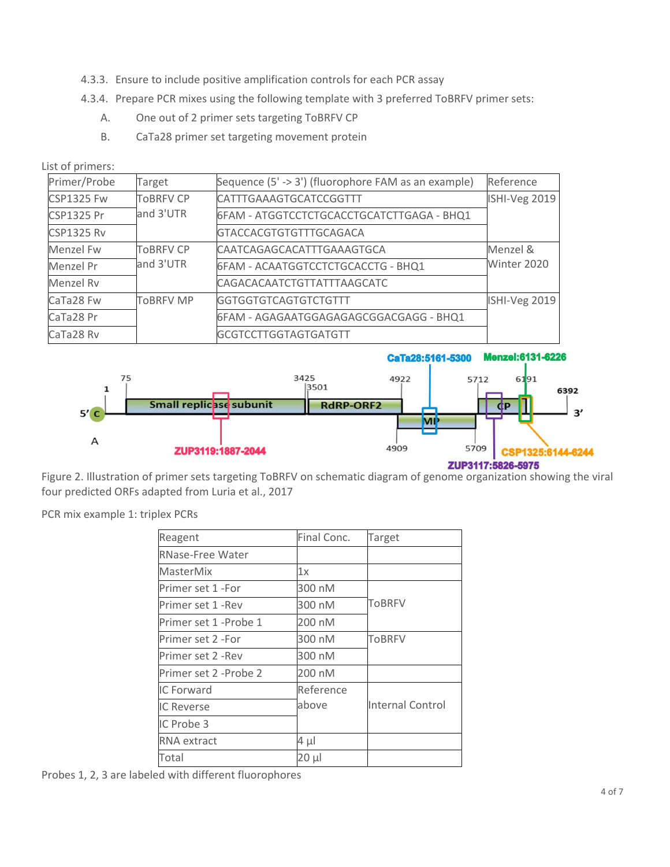- 4.3.3. Ensure to include positive amplification controls for each PCR assay
- 4.3.4. Prepare PCR mixes using the following template with 3 preferred ToBRFV primer sets:
	- A. One out of 2 primer sets targeting ToBRFV CP
	- B. CaTa28 primer set targeting movement protein

List of primers:

| Primer/Probe      | Target           | Sequence (5' -> 3') (fluorophore FAM as an example) | Reference     |
|-------------------|------------------|-----------------------------------------------------|---------------|
| <b>CSP1325 Fw</b> | <b>TOBRFV CP</b> | CATTTGAAAGTGCATCCGGTTT                              | ISHI-Veg 2019 |
| <b>CSP1325 Pr</b> | and 3'UTR        | 6FAM - ATGGTCCTCTGCACCTGCATCTTGAGA - BHQ1           |               |
| <b>CSP1325 Rv</b> |                  | GTACCACGTGTGTTTGCAGACA                              |               |
| Menzel Fw         | <b>TOBRFV CP</b> | CAATCAGAGCACATTTGAAAGTGCA                           | Menzel &      |
| Menzel Pr         | and 3'UTR        | 6FAM - ACAATGGTCCTCTGCACCTG - BHQ1                  | Winter 2020   |
| Menzel Ry         |                  | CAGACACAATCTGTTATTTAAGCATC                          |               |
| CaTa28 Fw         | <b>TOBRFV MP</b> | <b>GGTGGTGTCAGTGTCTGTTT</b>                         | ISHI-Veg 2019 |
| CaTa28 Pr         |                  | 6FAM - AGAGAATGGAGAGAGCGGACGAGG - BHQ1              |               |
| CaTa28 Rv         |                  | <b>GCGTCCTTGGTAGTGATGTT</b>                         |               |



Figure 2. Illustration of primer sets targeting ToBRFV on schematic diagram of genome organization showing the viral four predicted ORFs adapted from Luria et al., 2017

PCR mix example 1: triplex PCRs

| Reagent                 | Final Conc. | Target           |
|-------------------------|-------------|------------------|
| <b>RNase-Free Water</b> |             |                  |
| <b>MasterMix</b>        | 1x          |                  |
| Primer set 1 -For       | 300 nM      |                  |
| Primer set 1 - Rev      | 300 nM      | <b>ToBRFV</b>    |
| Primer set 1 -Probe 1   | 200 nM      |                  |
| Primer set 2 -For       | 300 nM      | ToBRFV           |
| Primer set 2 -Rev       | 300 nM      |                  |
| Primer set 2 -Probe 2   | 200 nM      |                  |
| IC Forward              | Reference   |                  |
| <b>IC Reverse</b>       | above       | Internal Control |
| IC Probe 3              |             |                  |
| <b>RNA</b> extract      | 4 μl        |                  |
| Total                   | $20 \mu$    |                  |

Probes 1, 2, 3 are labeled with different fluorophores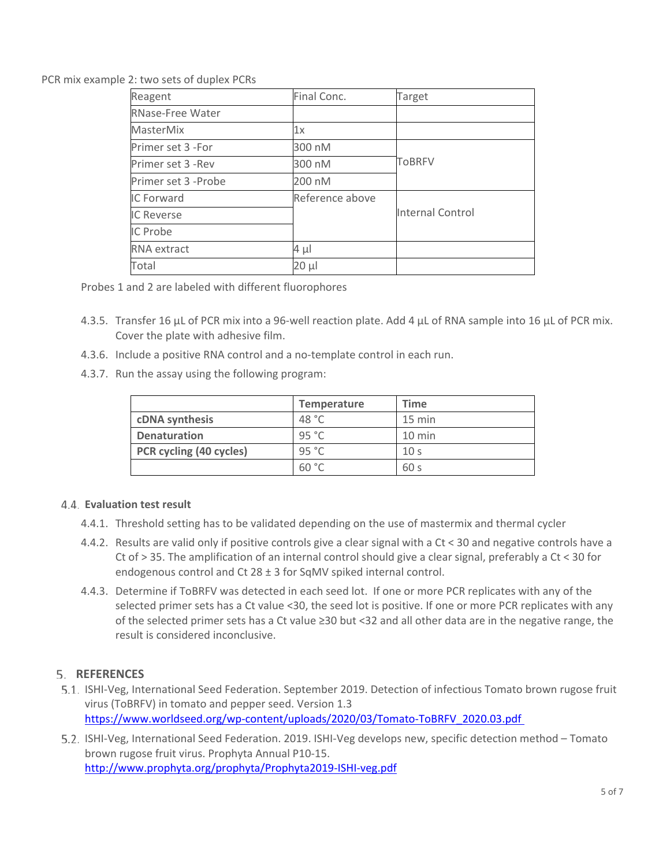#### PCR mix example 2: two sets of duplex PCRs

| Reagent              | Final Conc.     | Target                  |
|----------------------|-----------------|-------------------------|
| RNase-Free Water     |                 |                         |
| <b>MasterMix</b>     | 1х              |                         |
| Primer set 3 -For    | 300 nM          |                         |
| Primer set 3 -Rev    | 300 nM          | <b>ToBRFV</b>           |
| Primer set 3 - Probe | 200 nM          |                         |
| IC Forward           | Reference above |                         |
| <b>IC Reverse</b>    |                 | <b>Internal Control</b> |
| IC Probe             |                 |                         |
| <b>RNA</b> extract   | 4 µl            |                         |
| Total                | 20 µl           |                         |

Probes 1 and 2 are labeled with different fluorophores

- 4.3.5. Transfer 16 μL of PCR mix into a 96-well reaction plate. Add 4 μL of RNA sample into 16 μL of PCR mix. Cover the plate with adhesive film.
- 4.3.6. Include a positive RNA control and a no-template control in each run.
- 4.3.7. Run the assay using the following program:

|                         | <b>Temperature</b> | Time             |
|-------------------------|--------------------|------------------|
| cDNA synthesis          | 48 °C              | $15 \text{ min}$ |
| <b>Denaturation</b>     | 95 °C              | $10 \text{ min}$ |
| PCR cycling (40 cycles) | 95 °C              | 10 <sub>s</sub>  |
|                         | 60 °C              | 60 <sub>s</sub>  |

#### **Evaluation test result**

- 4.4.1. Threshold setting has to be validated depending on the use of mastermix and thermal cycler
- 4.4.2. Results are valid only if positive controls give a clear signal with a Ct < 30 and negative controls have a Ct of > 35. The amplification of an internal control should give a clear signal, preferably a Ct < 30 for endogenous control and Ct 28 ± 3 for SqMV spiked internal control.
- 4.4.3. Determine if ToBRFV was detected in each seed lot. If one or more PCR replicates with any of the selected primer sets has a Ct value <30, the seed lot is positive. If one or more PCR replicates with any of the selected primer sets has a Ct value ≥30 but <32 and all other data are in the negative range, the result is considered inconclusive.

## **REFERENCES**

- 5.1. ISHI-Veg, International Seed Federation. September 2019. Detection of infectious Tomato brown rugose fruit virus (ToBRFV) in tomato and pepper seed. Version 1.3 [https://www.worldseed.org/wp-content/uploads/2020/03/Tomato-ToBRFV\\_2020.03.pdf](https://www.worldseed.org/wp-content/uploads/2020/03/Tomato-ToBRFV_2020.03.pdf)
- 5.2. ISHI-Veg, International Seed Federation. 2019. ISHI-Veg develops new, specific detection method Tomato brown rugose fruit virus. Prophyta Annual P10-15. <http://www.prophyta.org/prophyta/Prophyta2019-ISHI-veg.pdf>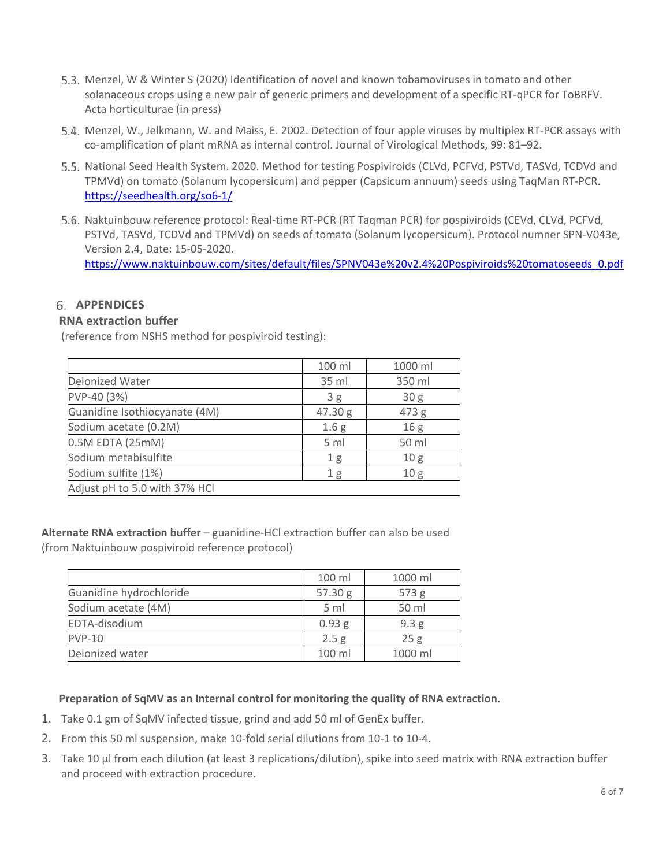- 5.3. Menzel, W & Winter S (2020) Identification of novel and known tobamoviruses in tomato and other solanaceous crops using a new pair of generic primers and development of a specific RT-qPCR for ToBRFV. Acta horticulturae (in press)
- 5.4. Menzel, W., Jelkmann, W. and Maiss, E. 2002. Detection of four apple viruses by multiplex RT-PCR assays with co-amplification of plant mRNA as internal control. Journal of Virological Methods, 99: 81–92.
- 5.5. National Seed Health System. 2020. Method for testing Pospiviroids (CLVd, PCFVd, PSTVd, TASVd, TCDVd and TPMVd) on tomato (Solanum lycopersicum) and pepper (Capsicum annuum) seeds using TaqMan RT-PCR. <https://seedhealth.org/so6-1/>
- 5.6. Naktuinbouw reference protocol: Real-time RT-PCR (RT Tagman PCR) for pospiviroids (CEVd, CLVd, PCFVd, PSTVd, TASVd, TCDVd and TPMVd) on seeds of tomato (Solanum lycopersicum). Protocol numner SPN-V043e, Version 2.4, Date: 15-05-2020. [https://www.naktuinbouw.com/sites/default/files/SPNV043e%20v2.4%20Pospiviroids%20tomatoseeds\\_0.pdf](https://www.naktuinbouw.com/sites/default/files/SPNV043e%20v2.4%20Pospiviroids%20tomatoseeds_0.pdf)

## **APPENDICES**

## **RNA extraction buffer**

(reference from NSHS method for pospiviroid testing):

|                               | 100 ml           | 1000 ml         |
|-------------------------------|------------------|-----------------|
| Deionized Water               | 35 ml            | 350 ml          |
| PVP-40 (3%)                   | 3g               | 30 <sub>g</sub> |
| Guanidine Isothiocyanate (4M) | 47.30 g          | 473 g           |
| Sodium acetate (0.2M)         | 1.6 <sub>g</sub> | 16 <sub>g</sub> |
| 0.5M EDTA (25mM)              | 5 ml             | 50 ml           |
| Sodium metabisulfite          | 1 <sub>g</sub>   | 10 <sub>g</sub> |
| Sodium sulfite (1%)           | 1 <sub>g</sub>   | 10 <sub>g</sub> |
| Adjust pH to 5.0 with 37% HCl |                  |                 |

**Alternate RNA extraction buffer** – guanidine-HCl extraction buffer can also be used (from Naktuinbouw pospiviroid reference protocol)

|                         | 100 ml            | 1000 ml          |
|-------------------------|-------------------|------------------|
| Guanidine hydrochloride | 57.30 g           | 573 g            |
| Sodium acetate (4M)     | 5 ml              | 50 ml            |
| EDTA-disodium           | 0.93 <sub>g</sub> | 9.3 <sub>g</sub> |
| <b>PVP-10</b>           | 2.5 <sub>g</sub>  | 25g              |
| Deionized water         | 100 ml            | 1000 ml          |

**Preparation of SqMV as an Internal control for monitoring the quality of RNA extraction.**

- 1. Take 0.1 gm of SqMV infected tissue, grind and add 50 ml of GenEx buffer.
- 2. From this 50 ml suspension, make 10-fold serial dilutions from 10-1 to 10-4.
- 3. Take 10 μl from each dilution (at least 3 replications/dilution), spike into seed matrix with RNA extraction buffer and proceed with extraction procedure.